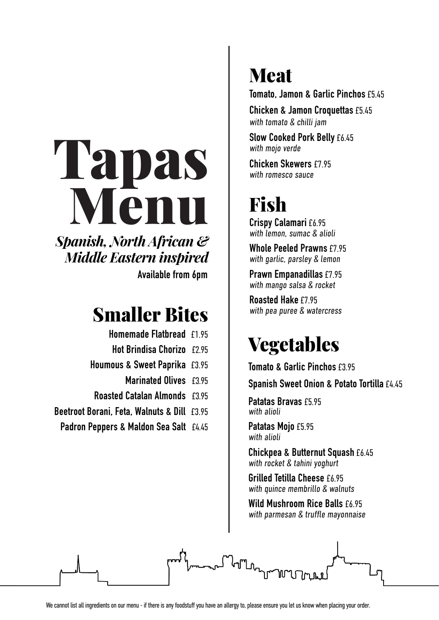## Tapas Menu  $\mathbf{H} \cdot \mathbf{H}$ V lëtull *Spanish, North African & Middle Eastern inspired*

**Available from 6pm Marinated Olives** £3.45 *Spanish, North African & Middle Eastern inspired* **Houmous & Sweet Paprika** £3.45 **Hot Brindisa Chorizo** £2.95

## **Smaller Bites**  $\parallel$  with pea puree & watercress **BEETHER BORSES**

- **Homemade Flatbread** £1.95
- **Hot Brindisa Chorizo** £2.95 **Promonique Picture**<br>Padron Sea Salti <sup>3</sup>
- **Houmous & Sweet Paprika** £3.95 **Plate of Marinated Anchoring Contracts Spanish Sweet Onion & Potato Tortilla** £3.95
	- **Marinated Olives** £3.95
	- **Roasted Catalan Almonds** £3.95
	- **Beetroot Borani, Feta, Walnuts & Dill** £3.95 Pinchos
	- Padron Peppers & Maldon Sea Salt £4.45 **Tomato & Garlic Toasts** £3.50

## **Meat** with the children of the children of the children of the children of the children of the children of the children of the children of the children of the children of the children of the children of the children of the child

**Tomato, Jamon & Garlic Pinchos** £5.45

**Chicken & Jamon Croquettas** £5.45 with tomato & chilli jam

**Slow Cooked Pork Belly** £6.45 with mojo verde

**Chicken Skewers** £7.95 with romesco sauce

## $$  $\mathbf{F}$

Crispy Calamari £6.95 with lemon, sumac & alioli

**Whole Peeled Prawns** £7.95 with garlic, parsley **&** lemon

Prawn Empanadillas £7.95 with mango salsa & rocket **Fresh Seared Scallops** £6.95

Roasted Hake £7.95 with pea puree  $&$  watercress

## **Patatas Regetables** with a set  $\mathbf{v}$

**Tomato & Garlic Pinchos £3.95** 

**Spanish Sweet Onion & Potato Tortilla** £4.45 **Spanish Sweet Union & Foldio 101 all** 

Patatas Bravas £5.95 with alioli **WILIT ALIULI** 

Patatas Mojo £5.95 with alioli **Exercise 2016** 

**Chickpea & Butternut Squash** £6.45 with rocket & tahini yoghurt **Chickpea & Butternut Squash** £5.45

**Grilled Tetilla Cheese** £6.95 with quince membrillo & walnuts **Tetilla Cheese** £5.45

**Wild Mushroom Rice Balls** £6.95 with parmesan & truffle mayonnaise